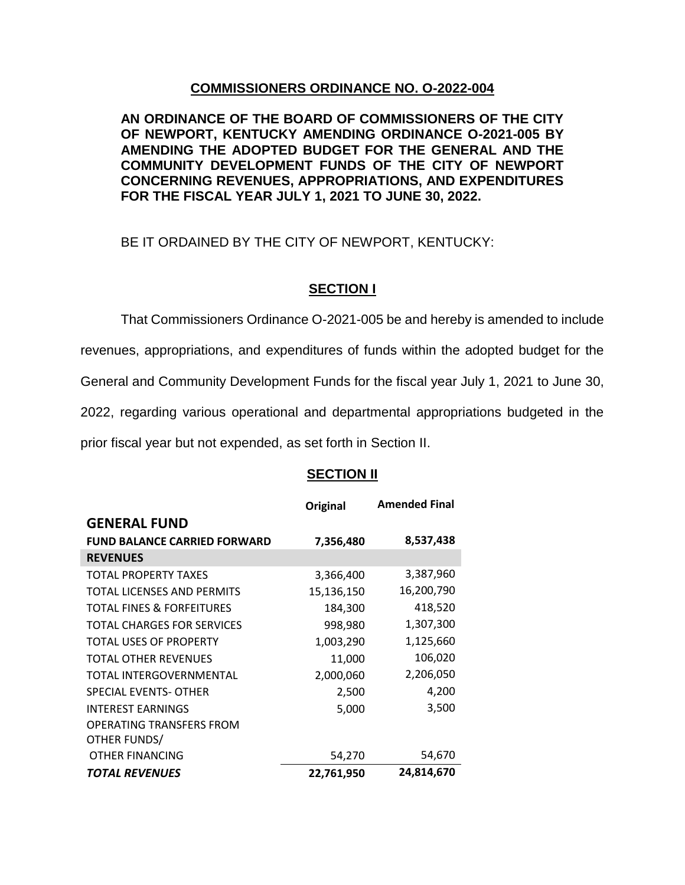## **COMMISSIONERS ORDINANCE NO. O-2022-004**

**AN ORDINANCE OF THE BOARD OF COMMISSIONERS OF THE CITY OF NEWPORT, KENTUCKY AMENDING ORDINANCE O-2021-005 BY AMENDING THE ADOPTED BUDGET FOR THE GENERAL AND THE COMMUNITY DEVELOPMENT FUNDS OF THE CITY OF NEWPORT CONCERNING REVENUES, APPROPRIATIONS, AND EXPENDITURES FOR THE FISCAL YEAR JULY 1, 2021 TO JUNE 30, 2022.**

BE IT ORDAINED BY THE CITY OF NEWPORT, KENTUCKY:

## **SECTION I**

That Commissioners Ordinance O-2021-005 be and hereby is amended to include revenues, appropriations, and expenditures of funds within the adopted budget for the General and Community Development Funds for the fiscal year July 1, 2021 to June 30, 2022, regarding various operational and departmental appropriations budgeted in the prior fiscal year but not expended, as set forth in Section II.

## **SECTION II**

|                                      | Original   | <b>Amended Final</b> |
|--------------------------------------|------------|----------------------|
| <b>GENERAL FUND</b>                  |            |                      |
| <b>FUND BALANCE CARRIED FORWARD</b>  | 7,356,480  | 8,537,438            |
| <b>REVENUES</b>                      |            |                      |
| <b>TOTAL PROPERTY TAXES</b>          | 3,366,400  | 3,387,960            |
| TOTAL LICENSES AND PERMITS           | 15,136,150 | 16,200,790           |
| <b>TOTAL FINES &amp; FORFEITURES</b> | 184,300    | 418,520              |
| TOTAL CHARGES FOR SERVICES           | 998,980    | 1,307,300            |
| <b>TOTAL USES OF PROPERTY</b>        | 1,003,290  | 1,125,660            |
| TOTAL OTHER REVENUES                 | 11,000     | 106,020              |
| TOTAL INTERGOVERNMENTAL              | 2,000,060  | 2,206,050            |
| SPECIAL EVENTS- OTHER                | 2,500      | 4,200                |
| <b>INTEREST EARNINGS</b>             | 5,000      | 3,500                |
| <b>OPERATING TRANSFERS FROM</b>      |            |                      |
| OTHER FUNDS/                         |            |                      |
| OTHER FINANCING                      | 54,270     | 54,670               |
| TOTAL REVENUES                       | 22,761,950 | 24,814,670           |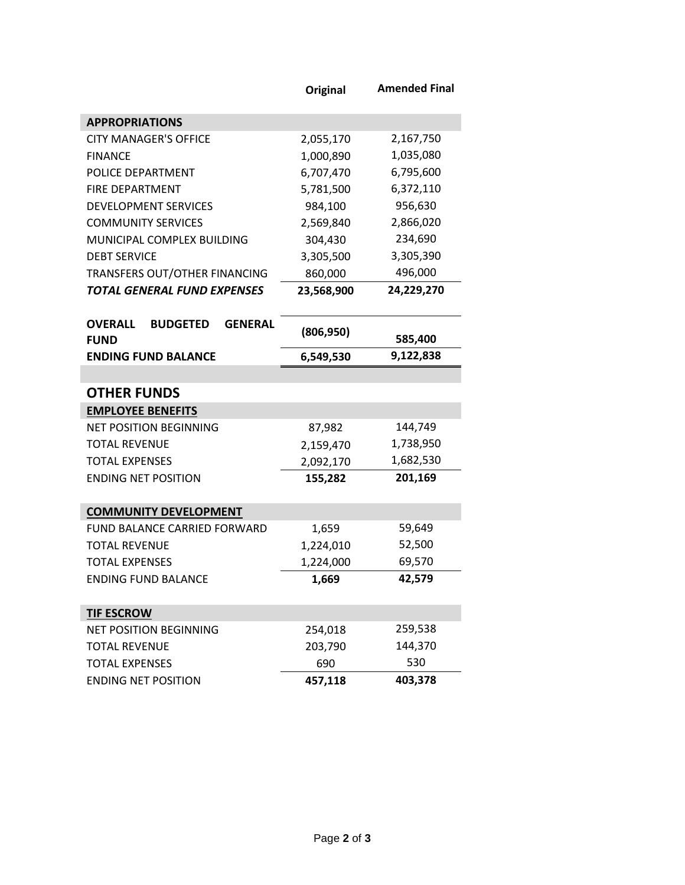|                                                                    | <b>Original</b> | <b>Amended Final</b> |
|--------------------------------------------------------------------|-----------------|----------------------|
| <b>APPROPRIATIONS</b>                                              |                 |                      |
| <b>CITY MANAGER'S OFFICE</b>                                       | 2,055,170       | 2,167,750            |
| <b>FINANCE</b>                                                     | 1,000,890       | 1,035,080            |
| POLICE DEPARTMENT                                                  | 6,707,470       | 6,795,600            |
| FIRE DEPARTMENT                                                    | 5,781,500       | 6,372,110            |
| <b>DEVELOPMENT SERVICES</b>                                        | 984,100         | 956,630              |
| <b>COMMUNITY SERVICES</b>                                          | 2,569,840       | 2,866,020            |
| MUNICIPAL COMPLEX BUILDING                                         | 304,430         | 234,690              |
| <b>DEBT SERVICE</b>                                                | 3,305,500       | 3,305,390            |
| TRANSFERS OUT/OTHER FINANCING                                      | 860,000         | 496,000              |
| <b>TOTAL GENERAL FUND EXPENSES</b>                                 | 23,568,900      | 24,229,270           |
|                                                                    |                 |                      |
| <b>OVERALL</b><br><b>GENERAL</b><br><b>BUDGETED</b><br><b>FUND</b> | (806, 950)      | 585,400              |
| <b>ENDING FUND BALANCE</b>                                         | 6,549,530       | 9,122,838            |
|                                                                    |                 |                      |
| <b>OTHER FUNDS</b>                                                 |                 |                      |
| <b>EMPLOYEE BENEFITS</b>                                           |                 |                      |
| <b>NET POSITION BEGINNING</b>                                      | 87,982          | 144,749              |
| <b>TOTAL REVENUE</b>                                               | 2,159,470       | 1,738,950            |
| <b>TOTAL EXPENSES</b>                                              | 2,092,170       | 1,682,530            |
| <b>ENDING NET POSITION</b>                                         | 155,282         | 201,169              |
|                                                                    |                 |                      |
| <b>COMMUNITY DEVELOPMENT</b><br>FUND BALANCE CARRIED FORWARD       |                 | 59,649               |
| <b>TOTAL REVENUE</b>                                               | 1,659           | 52,500               |
| <b>TOTAL EXPENSES</b>                                              | 1,224,010       | 69,570               |
|                                                                    | 1,224,000       | 42,579               |
| <b>ENDING FUND BALANCE</b>                                         | 1,669           |                      |
| <b>TIF ESCROW</b>                                                  |                 |                      |
| <b>NET POSITION BEGINNING</b>                                      | 254,018         | 259,538              |
| <b>TOTAL REVENUE</b>                                               | 203,790         | 144,370              |
| <b>TOTAL EXPENSES</b>                                              | 690             | 530                  |
| <b>ENDING NET POSITION</b>                                         | 457,118         | 403,378              |